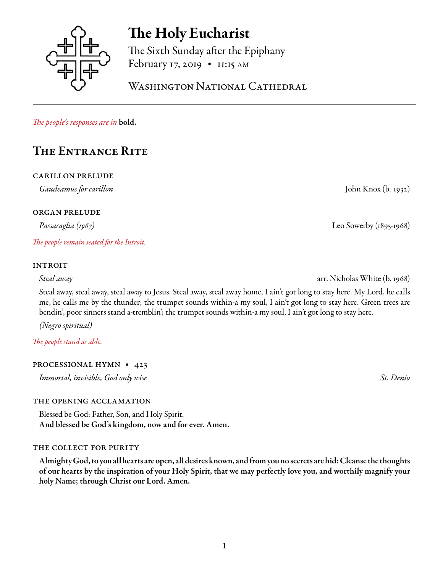

# The Holy Eucharist

The Sixth Sunday after the Epiphany February 17, 2019 • 11:15 AM

Washington National Cathedral

*The people's responses are in* bold.

## The Entrance Rite

### carillon prelude

*Gaudeamus for carillon* John Knox (b. 1932)

### organ prelude

*The people remain seated for the Introit.*

### **INTROIT**

Steal away, steal away, steal away to Jesus. Steal away, steal away home, I ain't got long to stay here. My Lord, he calls me, he calls me by the thunder; the trumpet sounds within-a my soul, I ain't got long to stay here. Green trees are bendin', poor sinners stand a-tremblin'; the trumpet sounds within-a my soul, I ain't got long to stay here.

*(Negro spiritual)*

*The people stand as able.* 

### processional hymn • 423

*Immortal, invisible, God only wise St. Denio*

### the opening acclamation

Blessed be God: Father, Son, and Holy Spirit. And blessed be God's kingdom, now and for ever. Amen.

### the collect for purity

Almighty God, to you all hearts are open, all desires known, and from you no secrets are hid: Cleanse the thoughts of our hearts by the inspiration of your Holy Spirit, that we may perfectly love you, and worthily magnify your holy Name; through Christ our Lord. Amen.

*Passacaglia (1967)* Leo Sowerby (1895-1968)

*Steal away* arr. Nicholas White (b. 1968)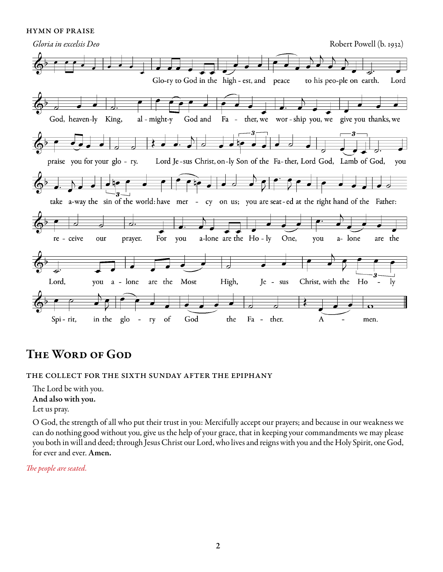#### hymn of praise



## The Word of God

#### the collect for the sixth sunday after the epiphany

The Lord be with you. And also with you. Let us pray.

O God, the strength of all who put their trust in you: Mercifully accept our prayers; and because in our weakness we can do nothing good without you, give us the help of your grace, that in keeping your commandments we may please you both in will and deed; through Jesus Christ our Lord, who lives and reigns with you and the Holy Spirit, one God, for ever and ever. Amen.

*The people are seated.*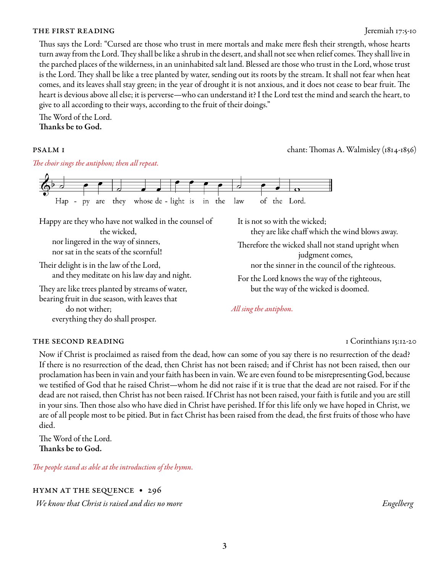#### the first reading the first reading  $J_1:_{5^{-10}}$

Thus says the Lord: "Cursed are those who trust in mere mortals and make mere flesh their strength, whose hearts turn away from the Lord. They shall be like a shrub in the desert, and shall not see when relief comes. They shall live in the parched places of the wilderness, in an uninhabited salt land. Blessed are those who trust in the Lord, whose trust is the Lord. They shall be like a tree planted by water, sending out its roots by the stream. It shall not fear when heat comes, and its leaves shall stay green; in the year of drought it is not anxious, and it does not cease to bear fruit. The heart is devious above all else; it is perverse—who can understand it? I the Lord test the mind and search the heart, to give to all according to their ways, according to the fruit of their doings."

The Word of the Lord. Thanks be to God.

*The choir sings the antiphon; then all repeat.* 

psalm 1 chant: Thomas A. Walmisley (1814-1856)



#### THE SECOND READING THE SECOND READING

Now if Christ is proclaimed as raised from the dead, how can some of you say there is no resurrection of the dead? If there is no resurrection of the dead, then Christ has not been raised; and if Christ has not been raised, then our proclamation has been in vain and your faith has been in vain. We are even found to be misrepresenting God, because we testified of God that he raised Christ—whom he did not raise if it is true that the dead are not raised. For if the dead are not raised, then Christ has not been raised. If Christ has not been raised, your faith is futile and you are still in your sins. Then those also who have died in Christ have perished. If for this life only we have hoped in Christ, we are of all people most to be pitied. But in fact Christ has been raised from the dead, the first fruits of those who have died.

The Word of the Lord. Thanks be to God.

*The people stand as able at the introduction of the hymn.* 

#### hymn at the sequence • 296

*We know that Christ is raised and dies no more Engelberg*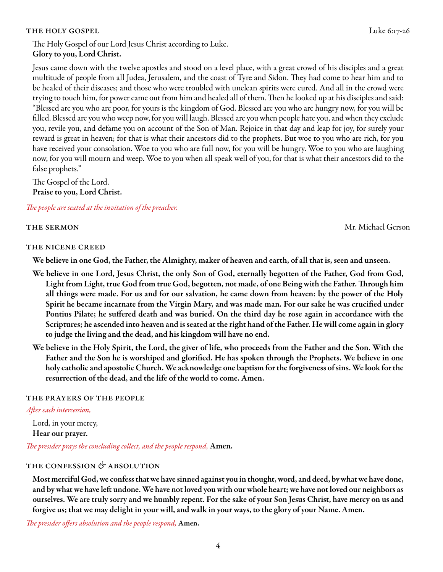#### THE HOLY GOSPEL Luke 6:17-26

The Holy Gospel of our Lord Jesus Christ according to Luke. Glory to you, Lord Christ.

Jesus came down with the twelve apostles and stood on a level place, with a great crowd of his disciples and a great multitude of people from all Judea, Jerusalem, and the coast of Tyre and Sidon. They had come to hear him and to be healed of their diseases; and those who were troubled with unclean spirits were cured. And all in the crowd were trying to touch him, for power came out from him and healed all of them. Then he looked up at his disciples and said: "Blessed are you who are poor, for yours is the kingdom of God. Blessed are you who are hungry now, for you will be filled. Blessed are you who weep now, for you will laugh. Blessed are you when people hate you, and when they exclude you, revile you, and defame you on account of the Son of Man. Rejoice in that day and leap for joy, for surely your reward is great in heaven; for that is what their ancestors did to the prophets. But woe to you who are rich, for you have received your consolation. Woe to you who are full now, for you will be hungry. Woe to you who are laughing now, for you will mourn and weep. Woe to you when all speak well of you, for that is what their ancestors did to the false prophets."

The Gospel of the Lord. Praise to you, Lord Christ.

*The people are seated at the invitation of the preacher.*

the sermon Mr. Michael Gerson

#### the nicene creed

We believe in one God, the Father, the Almighty, maker of heaven and earth, of all that is, seen and unseen.

- We believe in one Lord, Jesus Christ, the only Son of God, eternally begotten of the Father, God from God, Light from Light, true God from true God, begotten, not made, of one Being with the Father. Through him all things were made. For us and for our salvation, he came down from heaven: by the power of the Holy Spirit he became incarnate from the Virgin Mary, and was made man. For our sake he was crucified under Pontius Pilate; he suffered death and was buried. On the third day he rose again in accordance with the Scriptures; he ascended into heaven and is seated at the right hand of the Father. He will come again in glory to judge the living and the dead, and his kingdom will have no end.
- We believe in the Holy Spirit, the Lord, the giver of life, who proceeds from the Father and the Son. With the Father and the Son he is worshiped and glorified. He has spoken through the Prophets. We believe in one holy catholic and apostolic Church. We acknowledge one baptism for the forgiveness of sins. We look for the resurrection of the dead, and the life of the world to come. Amen.

#### the prayers of the people

#### *After each intercession,*

Lord, in your mercy, Hear our prayer. *The presider prays the concluding collect, and the people respond,* Amen.

#### the confession *&* absolution

Most merciful God, we confess that we have sinned against you in thought, word, and deed, by what we have done, and by what we have left undone. We have not loved you with our whole heart; we have not loved our neighbors as ourselves. We are truly sorry and we humbly repent. For the sake of your Son Jesus Christ, have mercy on us and forgive us; that we may delight in your will, and walk in your ways, to the glory of your Name. Amen.

*The presider offers absolution and the people respond,* Amen.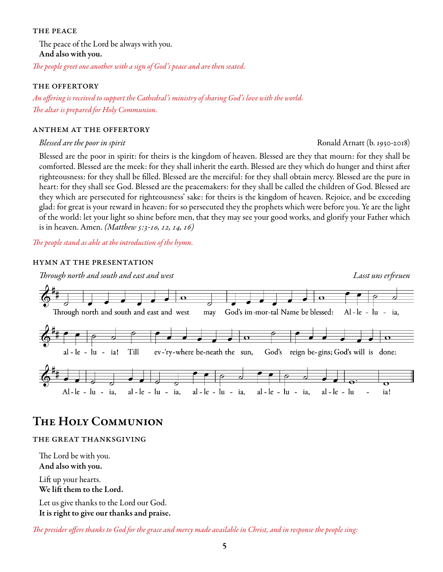#### THE PEACE

The peace of the Lord be always with you. And also with you. *The people greet one another with a sign of God's peace and are then seated.*

#### the offertory

*An offering is received to support the Cathedral's ministry of sharing God's love with the world. The altar is prepared for Holy Communion.*

#### anthem at the offertory

Blessed are the poor in spirit: for theirs is the kingdom of heaven. Blessed are they that mourn: for they shall be comforted. Blessed are the meek: for they shall inherit the earth. Blessed are they which do hunger and thirst after righteousness: for they shall be filled. Blessed are the merciful: for they shall obtain mercy. Blessed are the pure in heart: for they shall see God. Blessed are the peacemakers: for they shall be called the children of God. Blessed are they which are persecuted for righteousness' sake: for theirs is the kingdom of heaven. Rejoice, and be exceeding glad: for great is your reward in heaven: for so persecuted they the prophets which were before you. Ye are the light of the world: let your light so shine before men, that they may see your good works, and glorify your Father which is in heaven. Amen. *(Matthew 5:3-10, 12, 14, 16)*

*The people stand as able at the introduction of the hymn.* 

### hymn at the presentation



## The Holy Communion

### the great thanksgiving

The Lord be with you. And also with you.

Lift up your hearts. We lift them to the Lord.

Let us give thanks to the Lord our God. It is right to give our thanks and praise.

*The presider offers thanks to God for the grace and mercy made available in Christ, and in response the people sing:*

### *Blessed are the poor in spirit* Ronald Arnatt (b. 1930-2018)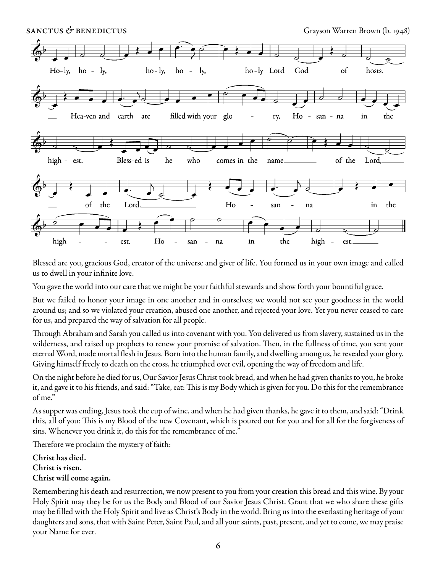

Blessed are you, gracious God, creator of the universe and giver of life. You formed us in your own image and called us to dwell in your infinite love.

You gave the world into our care that we might be your faithful stewards and show forth your bountiful grace.

But we failed to honor your image in one another and in ourselves; we would not see your goodness in the world around us; and so we violated your creation, abused one another, and rejected your love. Yet you never ceased to care for us, and prepared the way of salvation for all people.

Through Abraham and Sarah you called us into covenant with you. You delivered us from slavery, sustained us in the wilderness, and raised up prophets to renew your promise of salvation. Then, in the fullness of time, you sent your eternal Word, made mortal flesh in Jesus. Born into the human family, and dwelling among us, he revealed your glory. Giving himself freely to death on the cross, he triumphed over evil, opening the way of freedom and life.

On the night before he died for us, Our Savior Jesus Christ took bread, and when he had given thanks to you, he broke it, and gave it to his friends, and said: "Take, eat: This is my Body which is given for you. Do this for the remembrance of me."

As supper was ending, Jesus took the cup of wine, and when he had given thanks, he gave it to them, and said: "Drink this, all of you: This is my Blood of the new Covenant, which is poured out for you and for all for the forgiveness of sins. Whenever you drink it, do this for the remembrance of me."

Therefore we proclaim the mystery of faith:

```
Christ has died.
Christ is risen.
Christ will come again.
```
Remembering his death and resurrection, we now present to you from your creation this bread and this wine. By your Holy Spirit may they be for us the Body and Blood of our Savior Jesus Christ. Grant that we who share these gifts may be filled with the Holy Spirit and live as Christ's Body in the world. Bring us into the everlasting heritage of your daughters and sons, that with Saint Peter, Saint Paul, and all your saints, past, present, and yet to come, we may praise your Name for ever.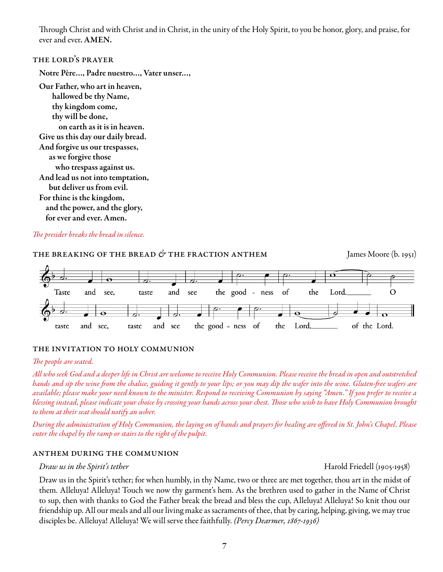Through Christ and with Christ and in Christ, in the unity of the Holy Spirit, to you be honor, glory, and praise, for ever and ever. AMEN.

#### the lord's prayer

Notre Père…, Padre nuestro…, Vater unser…,

Our Father, who art in heaven, hallowed be thy Name, thy kingdom come, thy will be done, on earth as it is in heaven. Give us this day our daily bread. And forgive us our trespasses, as we forgive those who trespass against us. And lead us not into temptation, but deliver us from evil. For thine is the kingdom, and the power, and the glory, for ever and ever. Amen.

### *The presider breaks the bread in silence.*



#### the invitation to holy communion

#### *The people are seated.*

*All who seek God and a deeper life in Christ are welcome to receive Holy Communion. Please receive the bread in open and outstretched hands and sip the wine from the chalice, guiding it gently to your lips; or you may dip the wafer into the wine. Gluten-free wafers are available; please make your need known to the minister. Respond to receiving Communion by saying "Amen." If you prefer to receive a blessing instead, please indicate your choice by crossing your hands across your chest. Those who wish to have Holy Communion brought to them at their seat should notify an usher.* 

*During the administration of Holy Communion, the laying on of hands and prayers for healing are offered in St. John's Chapel. Please enter the chapel by the ramp or stairs to the right of the pulpit.*

#### anthem during the communion

#### *Draw us in the Spirit's tether* Harold Friedell (1905-1958)

Draw us in the Spirit's tether; for when humbly, in thy Name, two or three are met together, thou art in the midst of them. Alleluya! Alleluya! Touch we now thy garment's hem. As the brethren used to gather in the Name of Christ to sup, then with thanks to God the Father break the bread and bless the cup, Alleluya! Alleluya! So knit thou our friendship up. All our meals and all our living make as sacraments of thee, that by caring, helping, giving, we may true disciples be. Alleluya! Alleluya! We will serve thee faithfully. *(Percy Dearmer, 1867-1936)*